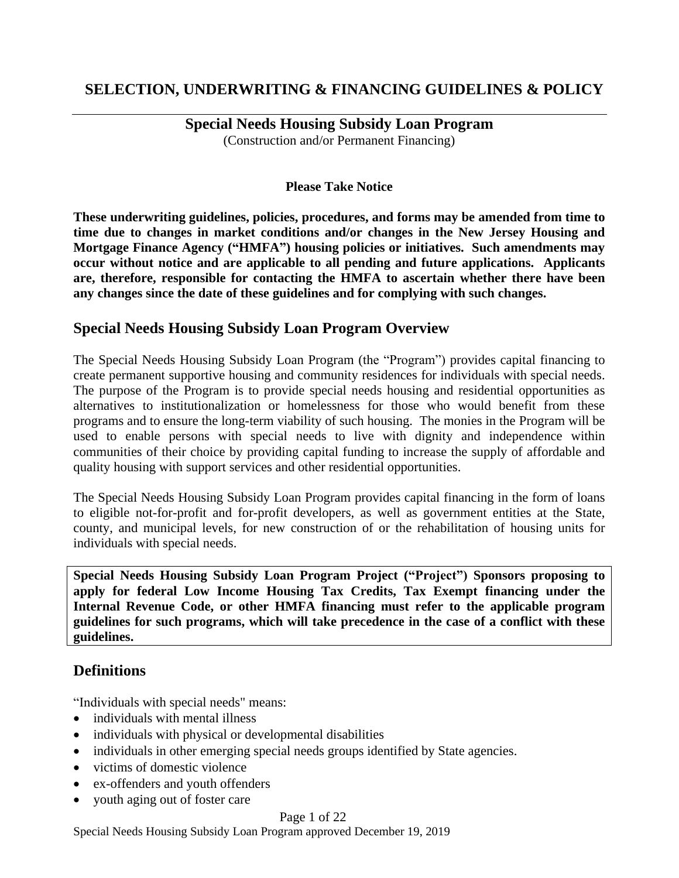# **SELECTION, UNDERWRITING & FINANCING GUIDELINES & POLICY**

**Special Needs Housing Subsidy Loan Program**  (Construction and/or Permanent Financing)

### **Please Take Notice**

**These underwriting guidelines, policies, procedures, and forms may be amended from time to time due to changes in market conditions and/or changes in the New Jersey Housing and Mortgage Finance Agency ("HMFA") housing policies or initiatives. Such amendments may occur without notice and are applicable to all pending and future applications. Applicants are, therefore, responsible for contacting the HMFA to ascertain whether there have been any changes since the date of these guidelines and for complying with such changes.** 

## **Special Needs Housing Subsidy Loan Program Overview**

The Special Needs Housing Subsidy Loan Program (the "Program") provides capital financing to create permanent supportive housing and community residences for individuals with special needs. The purpose of the Program is to provide special needs housing and residential opportunities as alternatives to institutionalization or homelessness for those who would benefit from these programs and to ensure the long-term viability of such housing. The monies in the Program will be used to enable persons with special needs to live with dignity and independence within communities of their choice by providing capital funding to increase the supply of affordable and quality housing with support services and other residential opportunities.

The Special Needs Housing Subsidy Loan Program provides capital financing in the form of loans to eligible not-for-profit and for-profit developers, as well as government entities at the State, county, and municipal levels, for new construction of or the rehabilitation of housing units for individuals with special needs.

**Special Needs Housing Subsidy Loan Program Project ("Project") Sponsors proposing to apply for federal Low Income Housing Tax Credits, Tax Exempt financing under the Internal Revenue Code, or other HMFA financing must refer to the applicable program guidelines for such programs, which will take precedence in the case of a conflict with these guidelines.**

## **Definitions**

"Individuals with special needs" means:

- individuals with mental illness
- individuals with physical or developmental disabilities
- individuals in other emerging special needs groups identified by State agencies.
- victims of domestic violence
- ex-offenders and youth offenders
- youth aging out of foster care

### Page 1 of 22

Special Needs Housing Subsidy Loan Program approved December 19, 2019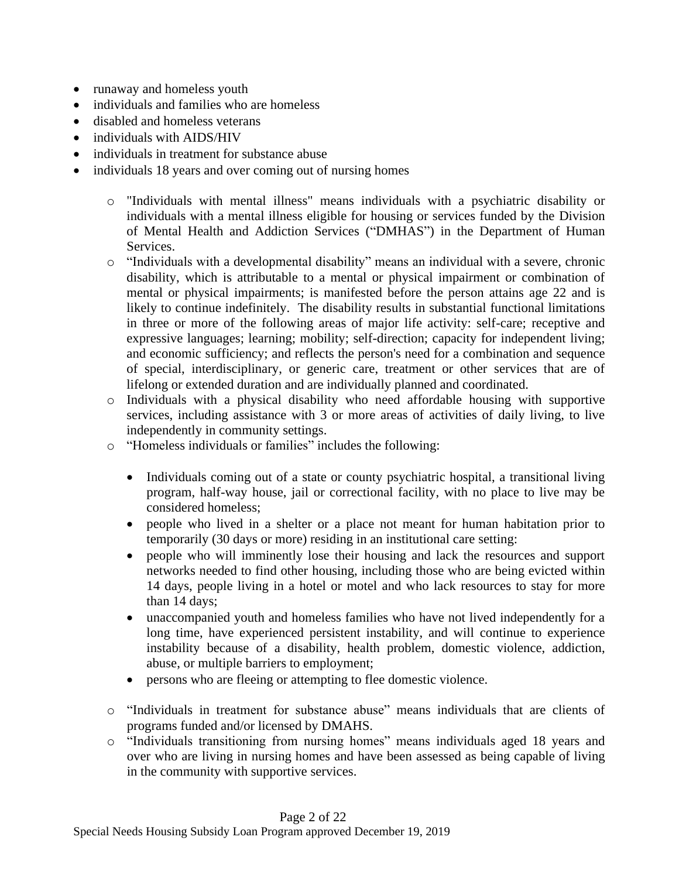- runaway and homeless youth
- individuals and families who are homeless
- disabled and homeless veterans
- individuals with AIDS/HIV
- individuals in treatment for substance abuse
- individuals 18 years and over coming out of nursing homes
	- o "Individuals with mental illness" means individuals with a psychiatric disability or individuals with a mental illness eligible for housing or services funded by the Division of Mental Health and Addiction Services ("DMHAS") in the Department of Human Services.
	- o "Individuals with a developmental disability" means an individual with a severe, chronic disability, which is attributable to a mental or physical impairment or combination of mental or physical impairments; is manifested before the person attains age 22 and is likely to continue indefinitely. The disability results in substantial functional limitations in three or more of the following areas of major life activity: self-care; receptive and expressive languages; learning; mobility; self-direction; capacity for independent living; and economic sufficiency; and reflects the person's need for a combination and sequence of special, interdisciplinary, or generic care, treatment or other services that are of lifelong or extended duration and are individually planned and coordinated.
	- o Individuals with a physical disability who need affordable housing with supportive services, including assistance with 3 or more areas of activities of daily living, to live independently in community settings.
	- o "Homeless individuals or families" includes the following:
		- Individuals coming out of a state or county psychiatric hospital, a transitional living program, half-way house, jail or correctional facility, with no place to live may be considered homeless;
		- people who lived in a shelter or a place not meant for human habitation prior to temporarily (30 days or more) residing in an institutional care setting:
		- people who will imminently lose their housing and lack the resources and support networks needed to find other housing, including those who are being evicted within 14 days, people living in a hotel or motel and who lack resources to stay for more than 14 days;
		- unaccompanied youth and homeless families who have not lived independently for a long time, have experienced persistent instability, and will continue to experience instability because of a disability, health problem, domestic violence, addiction, abuse, or multiple barriers to employment;
		- persons who are fleeing or attempting to flee domestic violence.
	- o "Individuals in treatment for substance abuse" means individuals that are clients of programs funded and/or licensed by DMAHS.
	- o "Individuals transitioning from nursing homes" means individuals aged 18 years and over who are living in nursing homes and have been assessed as being capable of living in the community with supportive services.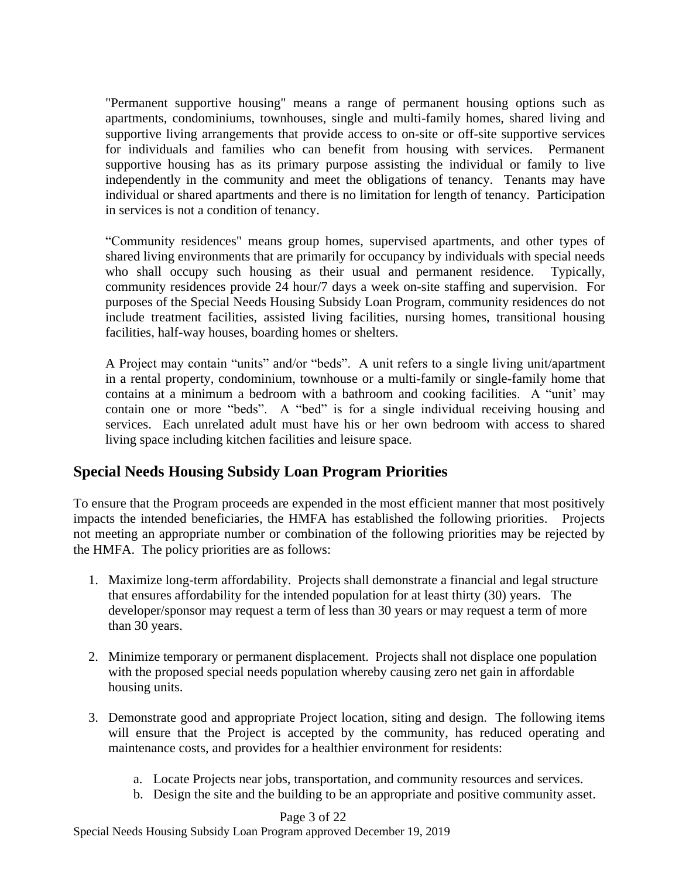"Permanent supportive housing" means a range of permanent housing options such as apartments, condominiums, townhouses, single and multi-family homes, shared living and supportive living arrangements that provide access to on-site or off-site supportive services for individuals and families who can benefit from housing with services. Permanent supportive housing has as its primary purpose assisting the individual or family to live independently in the community and meet the obligations of tenancy. Tenants may have individual or shared apartments and there is no limitation for length of tenancy. Participation in services is not a condition of tenancy.

"Community residences" means group homes, supervised apartments, and other types of shared living environments that are primarily for occupancy by individuals with special needs who shall occupy such housing as their usual and permanent residence. Typically, community residences provide 24 hour/7 days a week on-site staffing and supervision. For purposes of the Special Needs Housing Subsidy Loan Program, community residences do not include treatment facilities, assisted living facilities, nursing homes, transitional housing facilities, half-way houses, boarding homes or shelters.

A Project may contain "units" and/or "beds". A unit refers to a single living unit/apartment in a rental property, condominium, townhouse or a multi-family or single-family home that contains at a minimum a bedroom with a bathroom and cooking facilities. A "unit' may contain one or more "beds". A "bed" is for a single individual receiving housing and services. Each unrelated adult must have his or her own bedroom with access to shared living space including kitchen facilities and leisure space.

# **Special Needs Housing Subsidy Loan Program Priorities**

To ensure that the Program proceeds are expended in the most efficient manner that most positively impacts the intended beneficiaries, the HMFA has established the following priorities. Projects not meeting an appropriate number or combination of the following priorities may be rejected by the HMFA. The policy priorities are as follows:

- 1. Maximize long-term affordability. Projects shall demonstrate a financial and legal structure that ensures affordability for the intended population for at least thirty (30) years. The developer/sponsor may request a term of less than 30 years or may request a term of more than 30 years.
- 2. Minimize temporary or permanent displacement. Projects shall not displace one population with the proposed special needs population whereby causing zero net gain in affordable housing units.
- 3. Demonstrate good and appropriate Project location, siting and design. The following items will ensure that the Project is accepted by the community, has reduced operating and maintenance costs, and provides for a healthier environment for residents:
	- a. Locate Projects near jobs, transportation, and community resources and services.
	- b. Design the site and the building to be an appropriate and positive community asset.

Page 3 of 22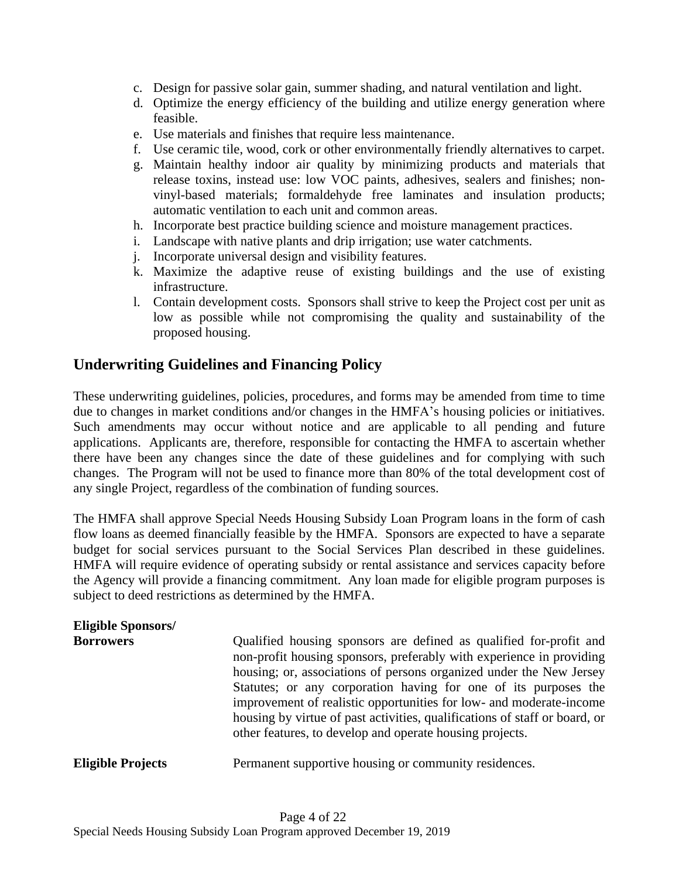- c. Design for passive solar gain, summer shading, and natural ventilation and light.
- d. Optimize the energy efficiency of the building and utilize energy generation where feasible.
- e. Use materials and finishes that require less maintenance.
- f. Use ceramic tile, wood, cork or other environmentally friendly alternatives to carpet.
- g. Maintain healthy indoor air quality by minimizing products and materials that release toxins, instead use: low VOC paints, adhesives, sealers and finishes; nonvinyl-based materials; formaldehyde free laminates and insulation products; automatic ventilation to each unit and common areas.
- h. Incorporate best practice building science and moisture management practices.
- i. Landscape with native plants and drip irrigation; use water catchments.
- j. Incorporate universal design and visibility features.
- k. Maximize the adaptive reuse of existing buildings and the use of existing infrastructure.
- l. Contain development costs. Sponsors shall strive to keep the Project cost per unit as low as possible while not compromising the quality and sustainability of the proposed housing.

## **Underwriting Guidelines and Financing Policy**

These underwriting guidelines, policies, procedures, and forms may be amended from time to time due to changes in market conditions and/or changes in the HMFA's housing policies or initiatives. Such amendments may occur without notice and are applicable to all pending and future applications. Applicants are, therefore, responsible for contacting the HMFA to ascertain whether there have been any changes since the date of these guidelines and for complying with such changes. The Program will not be used to finance more than 80% of the total development cost of any single Project, regardless of the combination of funding sources.

The HMFA shall approve Special Needs Housing Subsidy Loan Program loans in the form of cash flow loans as deemed financially feasible by the HMFA. Sponsors are expected to have a separate budget for social services pursuant to the Social Services Plan described in these guidelines. HMFA will require evidence of operating subsidy or rental assistance and services capacity before the Agency will provide a financing commitment. Any loan made for eligible program purposes is subject to deed restrictions as determined by the HMFA.

| <b>Eligible Sponsors/</b><br><b>Borrowers</b> | Qualified housing sponsors are defined as qualified for-profit and<br>non-profit housing sponsors, preferably with experience in providing<br>housing; or, associations of persons organized under the New Jersey<br>Statutes; or any corporation having for one of its purposes the<br>improvement of realistic opportunities for low- and moderate-income<br>housing by virtue of past activities, qualifications of staff or board, or<br>other features, to develop and operate housing projects. |
|-----------------------------------------------|-------------------------------------------------------------------------------------------------------------------------------------------------------------------------------------------------------------------------------------------------------------------------------------------------------------------------------------------------------------------------------------------------------------------------------------------------------------------------------------------------------|
| <b>Eligible Projects</b>                      | Permanent supportive housing or community residences.                                                                                                                                                                                                                                                                                                                                                                                                                                                 |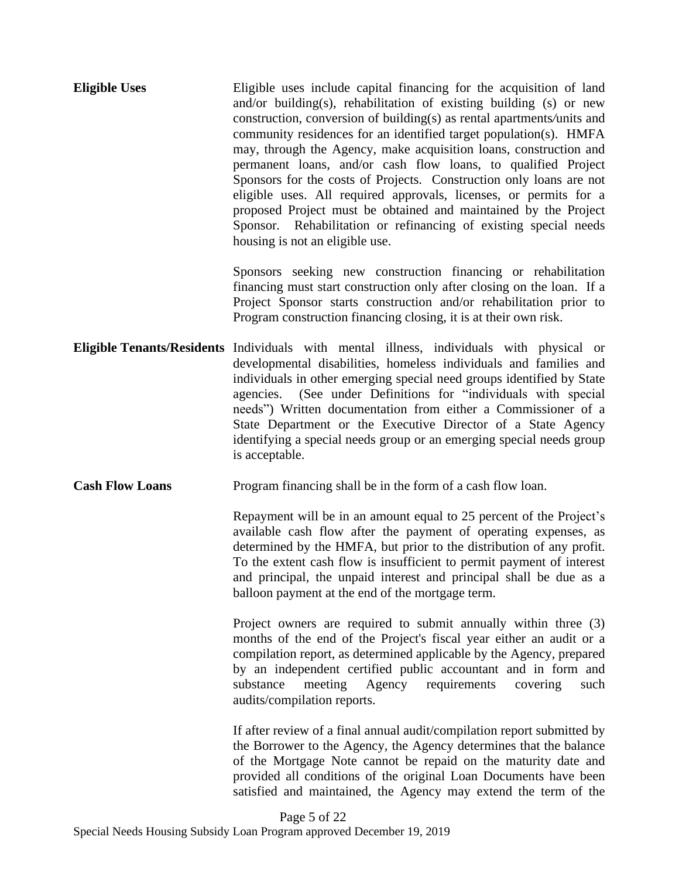| <b>Eligible Uses</b> | Eligible uses include capital financing for the acquisition of land    |
|----------------------|------------------------------------------------------------------------|
|                      | and/or building(s), rehabilitation of existing building (s) or new     |
|                      | construction, conversion of building(s) as rental apartments/units and |
|                      | community residences for an identified target population(s). HMFA      |
|                      | may, through the Agency, make acquisition loans, construction and      |
|                      | permanent loans, and/or cash flow loans, to qualified Project          |
|                      | Sponsors for the costs of Projects. Construction only loans are not    |
|                      | eligible uses. All required approvals, licenses, or permits for a      |
|                      | proposed Project must be obtained and maintained by the Project        |
|                      | Sponsor. Rehabilitation or refinancing of existing special needs       |
|                      | housing is not an eligible use.                                        |

Sponsors seeking new construction financing or rehabilitation financing must start construction only after closing on the loan. If a Project Sponsor starts construction and/or rehabilitation prior to Program construction financing closing, it is at their own risk.

- **Eligible Tenants/Residents** Individuals with mental illness, individuals with physical or developmental disabilities, homeless individuals and families and individuals in other emerging special need groups identified by State agencies. (See under Definitions for "individuals with special needs") Written documentation from either a Commissioner of a State Department or the Executive Director of a State Agency identifying a special needs group or an emerging special needs group is acceptable.
- **Cash Flow Loans** Program financing shall be in the form of a cash flow loan.

Repayment will be in an amount equal to 25 percent of the Project's available cash flow after the payment of operating expenses, as determined by the HMFA, but prior to the distribution of any profit. To the extent cash flow is insufficient to permit payment of interest and principal, the unpaid interest and principal shall be due as a balloon payment at the end of the mortgage term.

Project owners are required to submit annually within three (3) months of the end of the Project's fiscal year either an audit or a compilation report, as determined applicable by the Agency, prepared by an independent certified public accountant and in form and substance meeting Agency requirements covering such audits/compilation reports.

If after review of a final annual audit/compilation report submitted by the Borrower to the Agency, the Agency determines that the balance of the Mortgage Note cannot be repaid on the maturity date and provided all conditions of the original Loan Documents have been satisfied and maintained, the Agency may extend the term of the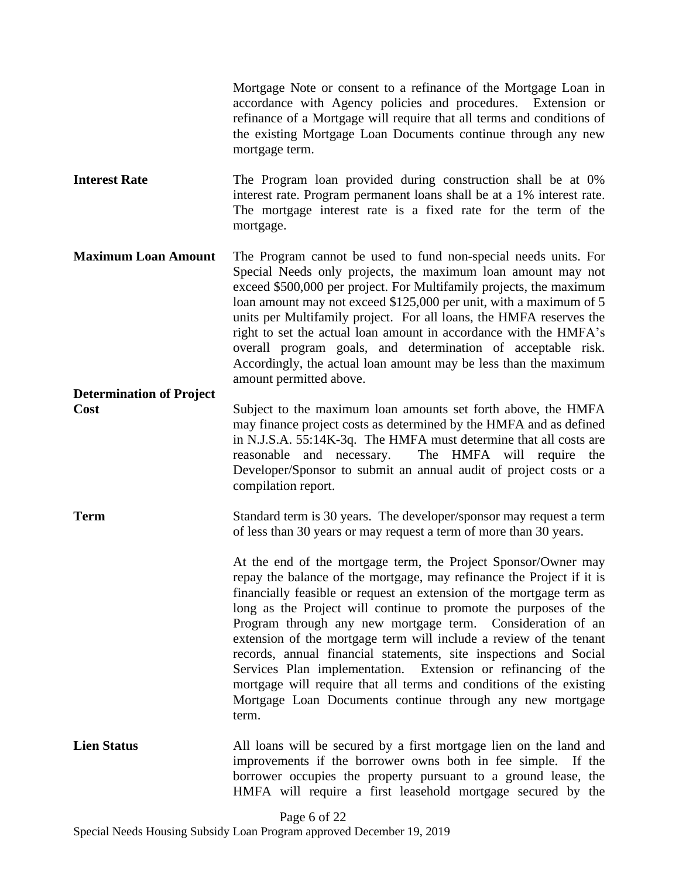Mortgage Note or consent to a refinance of the Mortgage Loan in accordance with Agency policies and procedures. Extension or refinance of a Mortgage will require that all terms and conditions of the existing Mortgage Loan Documents continue through any new mortgage term.

**Interest Rate** The Program loan provided during construction shall be at 0% interest rate. Program permanent loans shall be at a 1% interest rate. The mortgage interest rate is a fixed rate for the term of the mortgage.

**Maximum Loan Amount** The Program cannot be used to fund non-special needs units. For Special Needs only projects, the maximum loan amount may not exceed \$500,000 per project. For Multifamily projects, the maximum loan amount may not exceed \$125,000 per unit, with a maximum of 5 units per Multifamily project. For all loans, the HMFA reserves the right to set the actual loan amount in accordance with the HMFA's overall program goals, and determination of acceptable risk. Accordingly, the actual loan amount may be less than the maximum amount permitted above.

# **Determination of Project**

**Cost** Subject to the maximum loan amounts set forth above, the HMFA may finance project costs as determined by the HMFA and as defined in N.J.S.A. 55:14K-3q. The HMFA must determine that all costs are reasonable and necessary. The HMFA will require the Developer/Sponsor to submit an annual audit of project costs or a compilation report.

**Term** Standard term is 30 years. The developer/sponsor may request a term of less than 30 years or may request a term of more than 30 years.

> At the end of the mortgage term, the Project Sponsor/Owner may repay the balance of the mortgage, may refinance the Project if it is financially feasible or request an extension of the mortgage term as long as the Project will continue to promote the purposes of the Program through any new mortgage term. Consideration of an extension of the mortgage term will include a review of the tenant records, annual financial statements, site inspections and Social Services Plan implementation. Extension or refinancing of the mortgage will require that all terms and conditions of the existing Mortgage Loan Documents continue through any new mortgage term.

**Lien Status** All loans will be secured by a first mortgage lien on the land and improvements if the borrower owns both in fee simple. If the borrower occupies the property pursuant to a ground lease, the HMFA will require a first leasehold mortgage secured by the

Page 6 of 22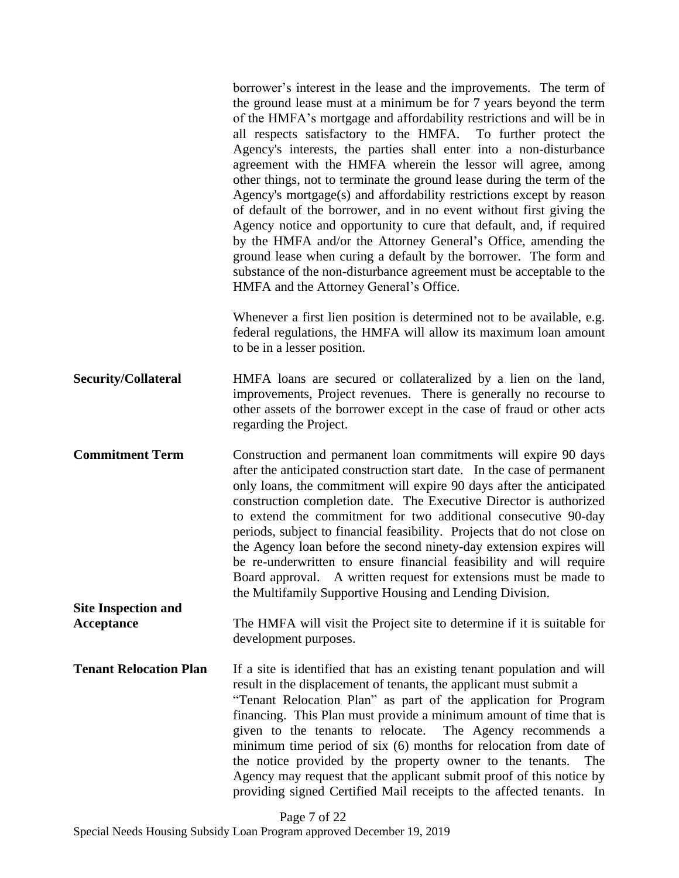|                                          | borrower's interest in the lease and the improvements. The term of<br>the ground lease must at a minimum be for 7 years beyond the term<br>of the HMFA's mortgage and affordability restrictions and will be in<br>all respects satisfactory to the HMFA. To further protect the<br>Agency's interests, the parties shall enter into a non-disturbance<br>agreement with the HMFA wherein the lessor will agree, among<br>other things, not to terminate the ground lease during the term of the<br>Agency's mortgage(s) and affordability restrictions except by reason<br>of default of the borrower, and in no event without first giving the<br>Agency notice and opportunity to cure that default, and, if required<br>by the HMFA and/or the Attorney General's Office, amending the<br>ground lease when curing a default by the borrower. The form and<br>substance of the non-disturbance agreement must be acceptable to the<br>HMFA and the Attorney General's Office. |
|------------------------------------------|-----------------------------------------------------------------------------------------------------------------------------------------------------------------------------------------------------------------------------------------------------------------------------------------------------------------------------------------------------------------------------------------------------------------------------------------------------------------------------------------------------------------------------------------------------------------------------------------------------------------------------------------------------------------------------------------------------------------------------------------------------------------------------------------------------------------------------------------------------------------------------------------------------------------------------------------------------------------------------------|
|                                          | Whenever a first lien position is determined not to be available, e.g.<br>federal regulations, the HMFA will allow its maximum loan amount<br>to be in a lesser position.                                                                                                                                                                                                                                                                                                                                                                                                                                                                                                                                                                                                                                                                                                                                                                                                         |
| <b>Security/Collateral</b>               | HMFA loans are secured or collateralized by a lien on the land,<br>improvements, Project revenues. There is generally no recourse to<br>other assets of the borrower except in the case of fraud or other acts<br>regarding the Project.                                                                                                                                                                                                                                                                                                                                                                                                                                                                                                                                                                                                                                                                                                                                          |
| <b>Commitment Term</b>                   | Construction and permanent loan commitments will expire 90 days<br>after the anticipated construction start date. In the case of permanent<br>only loans, the commitment will expire 90 days after the anticipated<br>construction completion date. The Executive Director is authorized<br>to extend the commitment for two additional consecutive 90-day<br>periods, subject to financial feasibility. Projects that do not close on<br>the Agency loan before the second ninety-day extension expires will<br>be re-underwritten to ensure financial feasibility and will require<br>Board approval. A written request for extensions must be made to<br>the Multifamily Supportive Housing and Lending Division.                                                                                                                                                                                                                                                              |
| <b>Site Inspection and</b><br>Acceptance | The HMFA will visit the Project site to determine if it is suitable for<br>development purposes.                                                                                                                                                                                                                                                                                                                                                                                                                                                                                                                                                                                                                                                                                                                                                                                                                                                                                  |
| <b>Tenant Relocation Plan</b>            | If a site is identified that has an existing tenant population and will<br>result in the displacement of tenants, the applicant must submit a<br>"Tenant Relocation Plan" as part of the application for Program<br>financing. This Plan must provide a minimum amount of time that is<br>given to the tenants to relocate.<br>The Agency recommends a<br>minimum time period of six (6) months for relocation from date of<br>the notice provided by the property owner to the tenants.<br>The<br>Agency may request that the applicant submit proof of this notice by<br>providing signed Certified Mail receipts to the affected tenants. In                                                                                                                                                                                                                                                                                                                                   |

Page 7 of 22 Special Needs Housing Subsidy Loan Program approved December 19, 2019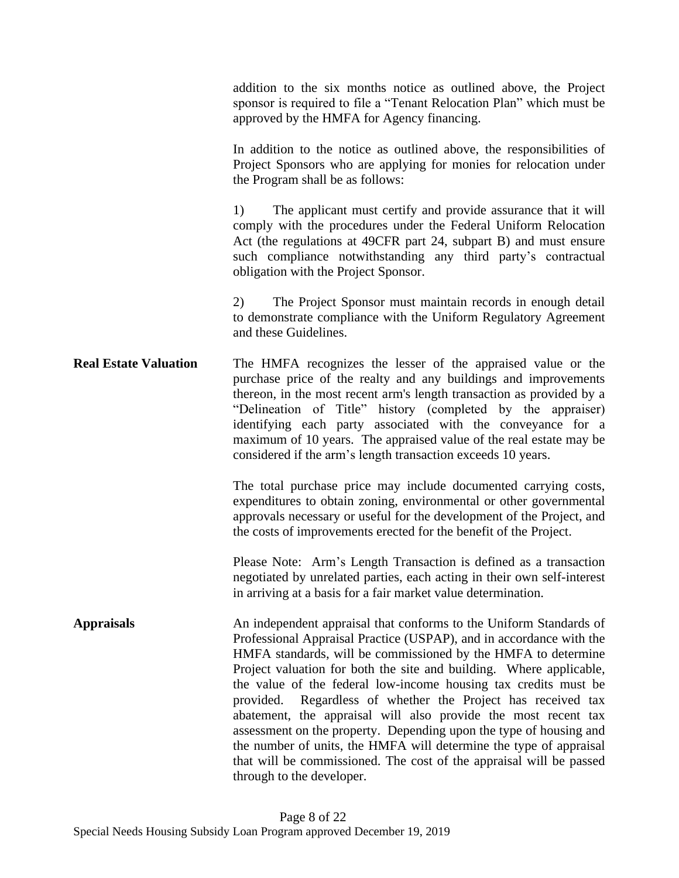addition to the six months notice as outlined above, the Project sponsor is required to file a "Tenant Relocation Plan" which must be approved by the HMFA for Agency financing.

In addition to the notice as outlined above, the responsibilities of Project Sponsors who are applying for monies for relocation under the Program shall be as follows:

1) The applicant must certify and provide assurance that it will comply with the procedures under the Federal Uniform Relocation Act (the regulations at 49CFR part 24, subpart B) and must ensure such compliance notwithstanding any third party's contractual obligation with the Project Sponsor.

2) The Project Sponsor must maintain records in enough detail to demonstrate compliance with the Uniform Regulatory Agreement and these Guidelines.

**Real Estate Valuation** The HMFA recognizes the lesser of the appraised value or the purchase price of the realty and any buildings and improvements thereon, in the most recent arm's length transaction as provided by a "Delineation of Title" history (completed by the appraiser) identifying each party associated with the conveyance for a maximum of 10 years. The appraised value of the real estate may be considered if the arm's length transaction exceeds 10 years.

> The total purchase price may include documented carrying costs, expenditures to obtain zoning, environmental or other governmental approvals necessary or useful for the development of the Project, and the costs of improvements erected for the benefit of the Project.

> Please Note: Arm's Length Transaction is defined as a transaction negotiated by unrelated parties, each acting in their own self-interest in arriving at a basis for a fair market value determination.

**Appraisals** An independent appraisal that conforms to the Uniform Standards of Professional Appraisal Practice (USPAP), and in accordance with the HMFA standards, will be commissioned by the HMFA to determine Project valuation for both the site and building. Where applicable, the value of the federal low-income housing tax credits must be provided. Regardless of whether the Project has received tax abatement, the appraisal will also provide the most recent tax assessment on the property. Depending upon the type of housing and the number of units, the HMFA will determine the type of appraisal that will be commissioned. The cost of the appraisal will be passed through to the developer.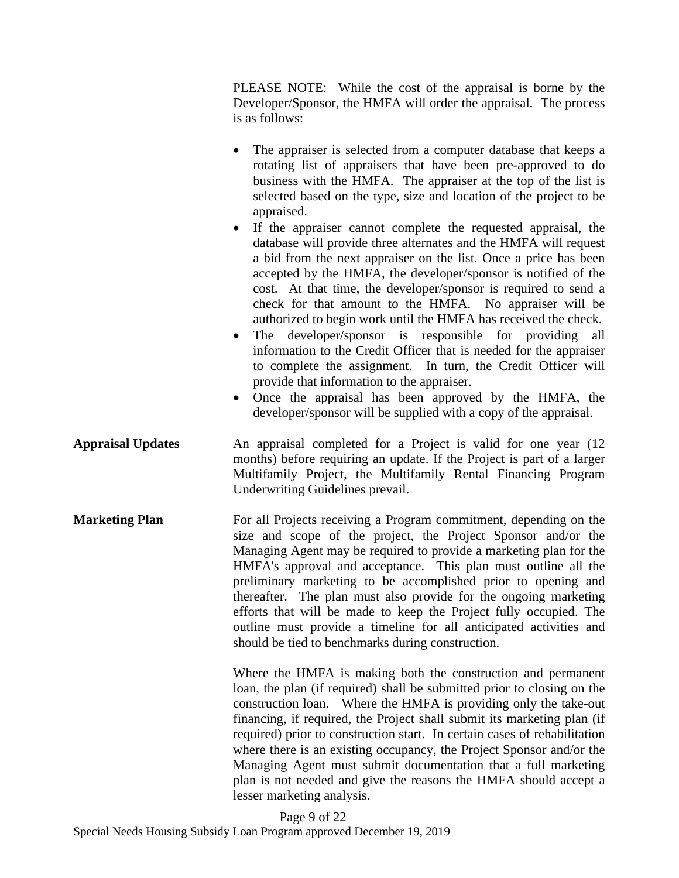PLEASE NOTE: While the cost of the appraisal is borne by the Developer/Sponsor, the HMFA will order the appraisal. The process is as follows:

- The appraiser is selected from a computer database that keeps a rotating list of appraisers that have been pre-approved to do business with the HMFA. The appraiser at the top of the list is selected based on the type, size and location of the project to be appraised.
- If the appraiser cannot complete the requested appraisal, the database will provide three alternates and the HMFA will request a bid from the next appraiser on the list. Once a price has been accepted by the HMFA, the developer/sponsor is notified of the cost. At that time, the developer/sponsor is required to send a check for that amount to the HMFA. No appraiser will be authorized to begin work until the HMFA has received the check.
- The developer/sponsor is responsible for providing all information to the Credit Officer that is needed for the appraiser to complete the assignment. In turn, the Credit Officer will provide that information to the appraiser.
- Once the appraisal has been approved by the HMFA, the developer/sponsor will be supplied with a copy of the appraisal.
- **Appraisal Updates** An appraisal completed for a Project is valid for one year (12 months) before requiring an update. If the Project is part of a larger Multifamily Project, the [Multifamily Rental Financing Program](https://njhousing.gov/dca/hmfa/media/download/multi/mf_rental_financing_underwriting_guidelines.pdf)  [Underwriting Guidelines p](https://njhousing.gov/dca/hmfa/media/download/multi/mf_rental_financing_underwriting_guidelines.pdf)revail.
- **Marketing Plan** For all Projects receiving a Program commitment, depending on the size and scope of the project, the Project Sponsor and/or the Managing Agent may be required to provide a marketing plan for the HMFA's approval and acceptance. This plan must outline all the preliminary marketing to be accomplished prior to opening and thereafter. The plan must also provide for the ongoing marketing efforts that will be made to keep the Project fully occupied. The outline must provide a timeline for all anticipated activities and should be tied to benchmarks during construction.

Where the HMFA is making both the construction and permanent loan, the plan (if required) shall be submitted prior to closing on the construction loan. Where the HMFA is providing only the take-out financing, if required, the Project shall submit its marketing plan (if required) prior to construction start. In certain cases of rehabilitation where there is an existing occupancy, the Project Sponsor and/or the Managing Agent must submit documentation that a full marketing plan is not needed and give the reasons the HMFA should accept a lesser marketing analysis.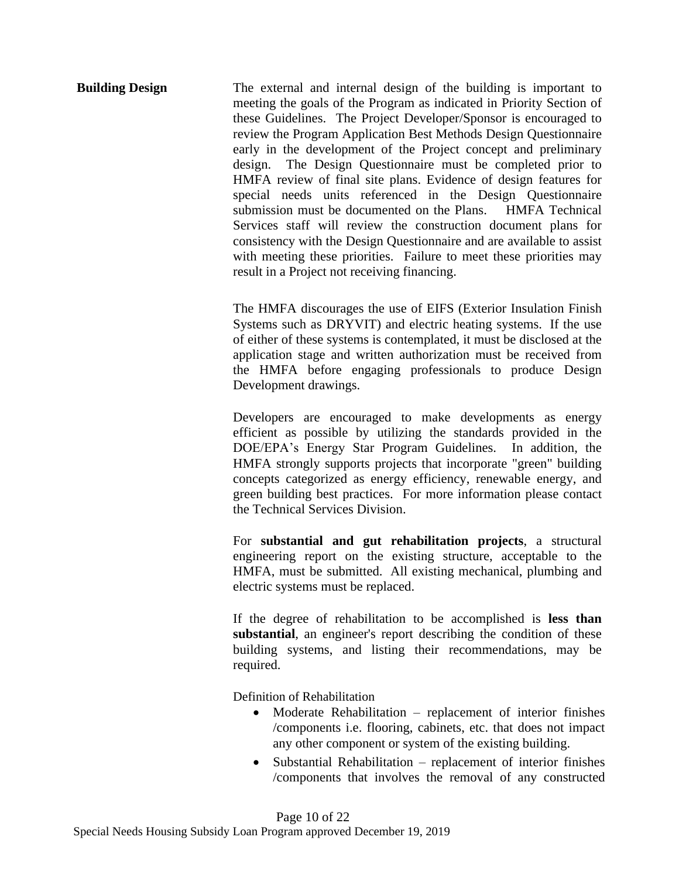**Building Design** The external and internal design of the building is important to meeting the goals of the Program as indicated in Priority Section of these Guidelines. The Project Developer/Sponsor is encouraged to review the Program Application Best Methods Design Questionnaire early in the development of the Project concept and preliminary design. The Design Questionnaire must be completed prior to HMFA review of final site plans. Evidence of design features for special needs units referenced in the Design Questionnaire submission must be documented on the Plans. HMFA Technical Services staff will review the construction document plans for consistency with the Design Questionnaire and are available to assist with meeting these priorities. Failure to meet these priorities may result in a Project not receiving financing.

> The HMFA discourages the use of EIFS (Exterior Insulation Finish Systems such as DRYVIT) and electric heating systems. If the use of either of these systems is contemplated, it must be disclosed at the application stage and written authorization must be received from the HMFA before engaging professionals to produce Design Development drawings.

> Developers are encouraged to make developments as energy efficient as possible by utilizing the standards provided in the DOE/EPA's Energy Star Program Guidelines. In addition, the HMFA strongly supports projects that incorporate "green" building concepts categorized as energy efficiency, renewable energy, and green building best practices. For more information please contact the Technical Services Division.

> For **substantial and gut rehabilitation projects**, a structural engineering report on the existing structure, acceptable to the HMFA, must be submitted. All existing mechanical, plumbing and electric systems must be replaced.

> If the degree of rehabilitation to be accomplished is **less than substantial**, an engineer's report describing the condition of these building systems, and listing their recommendations, may be required.

Definition of Rehabilitation

- Moderate Rehabilitation replacement of interior finishes /components i.e. flooring, cabinets, etc. that does not impact any other component or system of the existing building.
- Substantial Rehabilitation replacement of interior finishes /components that involves the removal of any constructed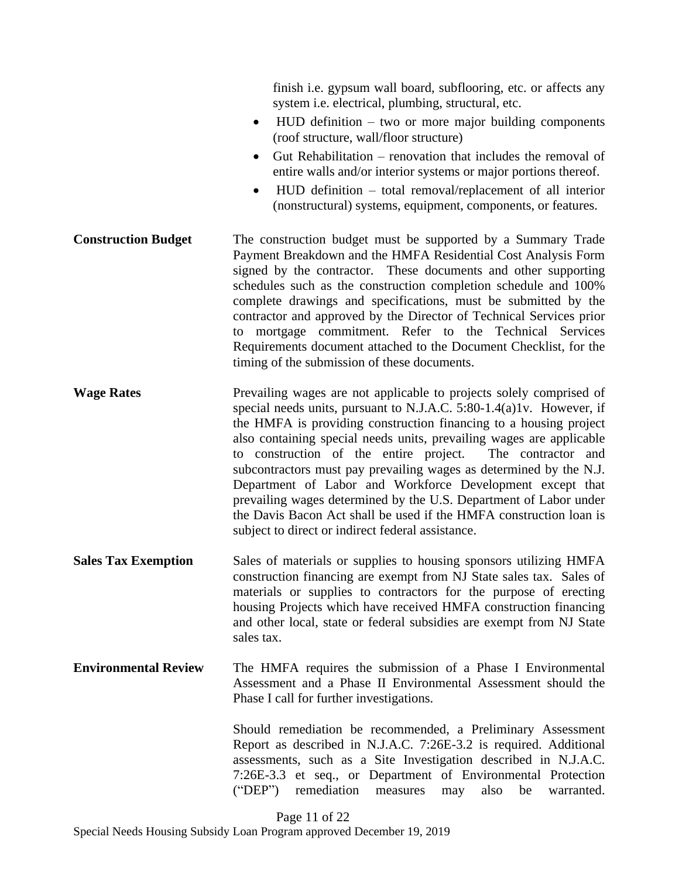finish i.e. gypsum wall board, subflooring, etc. or affects any system i.e. electrical, plumbing, structural, etc.

- HUD definition two or more major building components (roof structure, wall/floor structure)
- Gut Rehabilitation renovation that includes the removal of entire walls and/or interior systems or major portions thereof.
- HUD definition total removal/replacement of all interior (nonstructural) systems, equipment, components, or features.
- **Construction Budget** The construction budget must be supported by a Summary Trade Payment Breakdown and the HMFA Residential Cost Analysis Form signed by the contractor. These documents and other supporting schedules such as the construction completion schedule and 100% complete drawings and specifications, must be submitted by the contractor and approved by the Director of Technical Services prior to mortgage commitment. Refer to the Technical Services Requirements document attached to the Document Checklist, for the timing of the submission of these documents.
- **Wage Rates** Prevailing wages are not applicable to projects solely comprised of special needs units, pursuant to N.J.A.C. 5:80-1.4(a)1v. However, if the HMFA is providing construction financing to a housing project also containing special needs units, prevailing wages are applicable to construction of the entire project. The contractor and subcontractors must pay prevailing wages as determined by the N.J. Department of Labor and Workforce Development except that prevailing wages determined by the U.S. Department of Labor under the Davis Bacon Act shall be used if the HMFA construction loan is subject to direct or indirect federal assistance.
- **Sales Tax Exemption** Sales of materials or supplies to housing sponsors utilizing HMFA construction financing are exempt from NJ State sales tax. Sales of materials or supplies to contractors for the purpose of erecting housing Projects which have received HMFA construction financing and other local, state or federal subsidies are exempt from NJ State sales tax.
- **Environmental Review** The HMFA requires the submission of a Phase I Environmental Assessment and a Phase II Environmental Assessment should the Phase I call for further investigations.

Should remediation be recommended, a Preliminary Assessment Report as described in N.J.A.C. 7:26E-3.2 is required. Additional assessments, such as a Site Investigation described in N.J.A.C. 7:26E-3.3 et seq., or Department of Environmental Protection ("DEP") remediation measures may also be warranted.

Page 11 of 22

Special Needs Housing Subsidy Loan Program approved December 19, 2019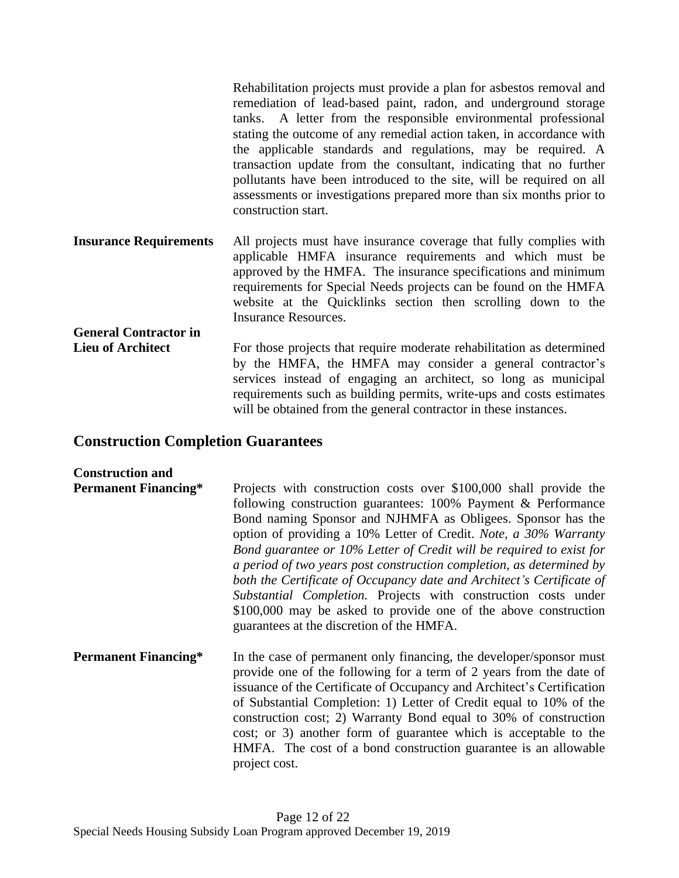|                               | Rehabilitation projects must provide a plan for asbestos removal and<br>remediation of lead-based paint, radon, and underground storage<br>tanks. A letter from the responsible environmental professional<br>stating the outcome of any remedial action taken, in accordance with<br>the applicable standards and regulations, may be required. A<br>transaction update from the consultant, indicating that no further<br>pollutants have been introduced to the site, will be required on all<br>assessments or investigations prepared more than six months prior to<br>construction start. |
|-------------------------------|-------------------------------------------------------------------------------------------------------------------------------------------------------------------------------------------------------------------------------------------------------------------------------------------------------------------------------------------------------------------------------------------------------------------------------------------------------------------------------------------------------------------------------------------------------------------------------------------------|
| <b>Insurance Requirements</b> | All projects must have insurance coverage that fully complies with<br>applicable HMFA insurance requirements and which must be<br>approved by the HMFA. The insurance specifications and minimum<br>requirements for Special Needs projects can be found on the HMFA<br>website at the Quicklinks section then scrolling down to the<br><b>Insurance Resources.</b>                                                                                                                                                                                                                             |
| <b>General Contractor in</b>  |                                                                                                                                                                                                                                                                                                                                                                                                                                                                                                                                                                                                 |
| <b>Lieu of Architect</b>      | For those projects that require moderate rehabilitation as determined<br>by the HMFA, the HMFA may consider a general contractor's<br>services instead of engaging an architect, so long as municipal<br>requirements such as building permits, write-ups and costs estimates<br>will be obtained from the general contractor in these instances.                                                                                                                                                                                                                                               |

### **Construction Completion Guarantees**

#### **Construction and**

- **Permanent Financing\*** Projects with construction costs over \$100,000 shall provide the following construction guarantees: 100% Payment & Performance Bond naming Sponsor and NJHMFA as Obligees. Sponsor has the option of providing a 10% Letter of Credit. *Note, a 30% Warranty Bond guarantee or 10% Letter of Credit will be required to exist for a period of two years post construction completion, as determined by both the Certificate of Occupancy date and Architect's Certificate of Substantial Completion.* Projects with construction costs under \$100,000 may be asked to provide one of the above construction guarantees at the discretion of the HMFA.
- **Permanent Financing\*** In the case of permanent only financing, the developer/sponsor must provide one of the following for a term of 2 years from the date of issuance of the Certificate of Occupancy and Architect's Certification of Substantial Completion: 1) Letter of Credit equal to 10% of the construction cost; 2) Warranty Bond equal to 30% of construction cost; or 3) another form of guarantee which is acceptable to the HMFA. The cost of a bond construction guarantee is an allowable project cost.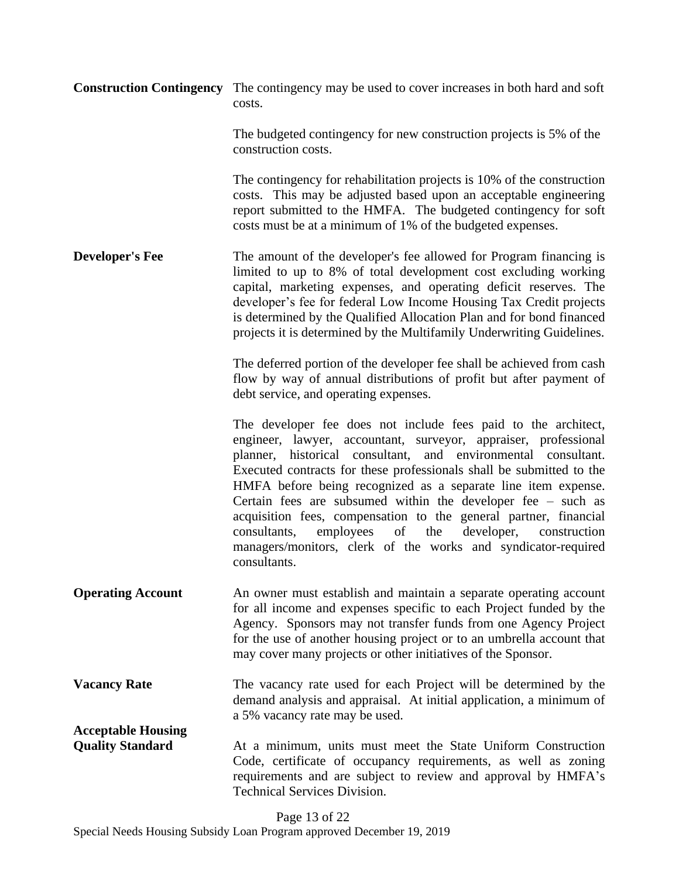|                                                      | <b>Construction Contingency</b> The contingency may be used to cover increases in both hard and soft<br>costs.                                                                                                                                                                                                                                                                                                                                                                                                                                                                                                                             |
|------------------------------------------------------|--------------------------------------------------------------------------------------------------------------------------------------------------------------------------------------------------------------------------------------------------------------------------------------------------------------------------------------------------------------------------------------------------------------------------------------------------------------------------------------------------------------------------------------------------------------------------------------------------------------------------------------------|
|                                                      | The budgeted contingency for new construction projects is 5% of the<br>construction costs.                                                                                                                                                                                                                                                                                                                                                                                                                                                                                                                                                 |
|                                                      | The contingency for rehabilitation projects is 10% of the construction<br>costs. This may be adjusted based upon an acceptable engineering<br>report submitted to the HMFA. The budgeted contingency for soft<br>costs must be at a minimum of 1% of the budgeted expenses.                                                                                                                                                                                                                                                                                                                                                                |
| <b>Developer's Fee</b>                               | The amount of the developer's fee allowed for Program financing is<br>limited to up to 8% of total development cost excluding working<br>capital, marketing expenses, and operating deficit reserves. The<br>developer's fee for federal Low Income Housing Tax Credit projects<br>is determined by the Qualified Allocation Plan and for bond financed<br>projects it is determined by the Multifamily Underwriting Guidelines.                                                                                                                                                                                                           |
|                                                      | The deferred portion of the developer fee shall be achieved from cash<br>flow by way of annual distributions of profit but after payment of<br>debt service, and operating expenses.                                                                                                                                                                                                                                                                                                                                                                                                                                                       |
|                                                      | The developer fee does not include fees paid to the architect,<br>engineer, lawyer, accountant, surveyor, appraiser, professional<br>planner, historical consultant, and environmental consultant.<br>Executed contracts for these professionals shall be submitted to the<br>HMFA before being recognized as a separate line item expense.<br>Certain fees are subsumed within the developer fee $-$ such as<br>acquisition fees, compensation to the general partner, financial<br>of<br>the<br>employees<br>developer,<br>consultants,<br>construction<br>managers/monitors, clerk of the works and syndicator-required<br>consultants. |
| <b>Operating Account</b>                             | An owner must establish and maintain a separate operating account<br>for all income and expenses specific to each Project funded by the<br>Agency. Sponsors may not transfer funds from one Agency Project<br>for the use of another housing project or to an umbrella account that<br>may cover many projects or other initiatives of the Sponsor.                                                                                                                                                                                                                                                                                        |
| <b>Vacancy Rate</b>                                  | The vacancy rate used for each Project will be determined by the<br>demand analysis and appraisal. At initial application, a minimum of<br>a 5% vacancy rate may be used.                                                                                                                                                                                                                                                                                                                                                                                                                                                                  |
| <b>Acceptable Housing</b><br><b>Quality Standard</b> | At a minimum, units must meet the State Uniform Construction<br>Code, certificate of occupancy requirements, as well as zoning<br>requirements and are subject to review and approval by HMFA's<br><b>Technical Services Division.</b>                                                                                                                                                                                                                                                                                                                                                                                                     |

Page 13 of 22 Special Needs Housing Subsidy Loan Program approved December 19, 2019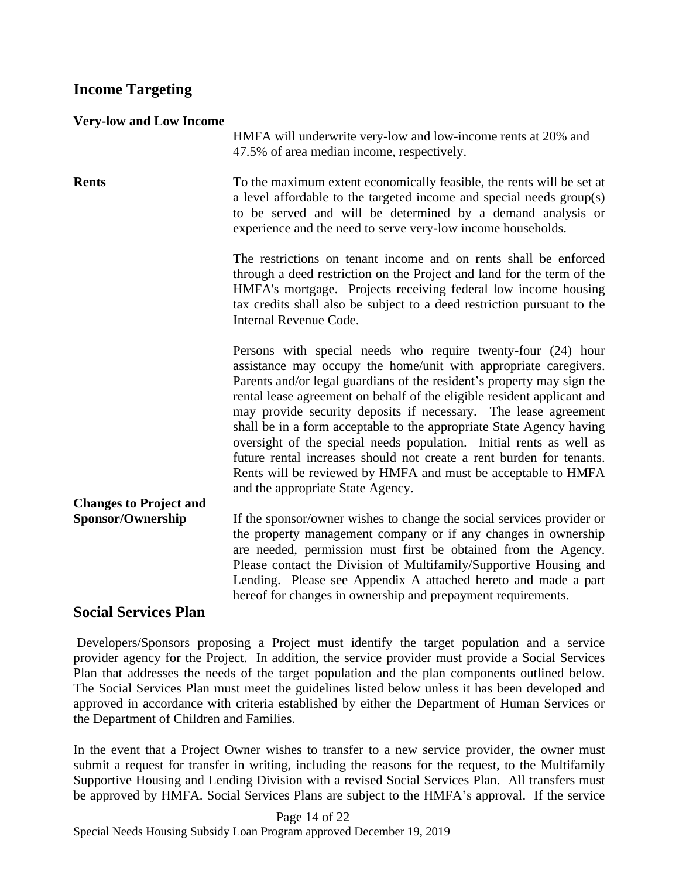## **Income Targeting**

| <b>Very-low and Low Income</b> |  |  |
|--------------------------------|--|--|
|                                |  |  |

HMFA will underwrite very-low and low-income rents at 20% and 47.5% of area median income, respectively.

**Rents** To the maximum extent economically feasible, the rents will be set at a level affordable to the targeted income and special needs group(s) to be served and will be determined by a demand analysis or experience and the need to serve very-low income households.

> The restrictions on tenant income and on rents shall be enforced through a deed restriction on the Project and land for the term of the HMFA's mortgage. Projects receiving federal low income housing tax credits shall also be subject to a deed restriction pursuant to the Internal Revenue Code.

> Persons with special needs who require twenty-four (24) hour assistance may occupy the home/unit with appropriate caregivers. Parents and/or legal guardians of the resident's property may sign the rental lease agreement on behalf of the eligible resident applicant and may provide security deposits if necessary. The lease agreement shall be in a form acceptable to the appropriate State Agency having oversight of the special needs population. Initial rents as well as future rental increases should not create a rent burden for tenants. Rents will be reviewed by HMFA and must be acceptable to HMFA and the appropriate State Agency.

**Changes to Project and Sponsor/Ownership** If the sponsor/owner wishes to change the social services provider or the property management company or if any changes in ownership are needed, permission must first be obtained from the Agency. Please contact the Division of Multifamily/Supportive Housing and Lending. Please see Appendix A attached hereto and made a part hereof for changes in ownership and prepayment requirements.

## **Social Services Plan**

Developers/Sponsors proposing a Project must identify the target population and a service provider agency for the Project. In addition, the service provider must provide a Social Services Plan that addresses the needs of the target population and the plan components outlined below. The Social Services Plan must meet the guidelines listed below unless it has been developed and approved in accordance with criteria established by either the Department of Human Services or the Department of Children and Families.

In the event that a Project Owner wishes to transfer to a new service provider, the owner must submit a request for transfer in writing, including the reasons for the request, to the Multifamily Supportive Housing and Lending Division with a revised Social Services Plan. All transfers must be approved by HMFA. Social Services Plans are subject to the HMFA's approval. If the service

Page 14 of 22 Special Needs Housing Subsidy Loan Program approved December 19, 2019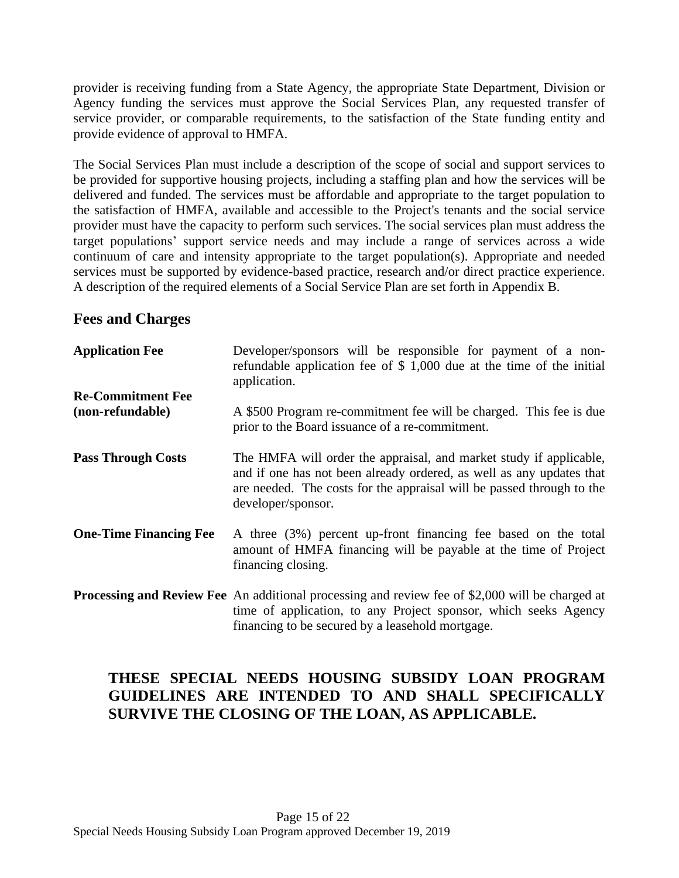provider is receiving funding from a State Agency, the appropriate State Department, Division or Agency funding the services must approve the Social Services Plan, any requested transfer of service provider, or comparable requirements, to the satisfaction of the State funding entity and provide evidence of approval to HMFA.

The Social Services Plan must include a description of the scope of social and support services to be provided for supportive housing projects, including a staffing plan and how the services will be delivered and funded. The services must be affordable and appropriate to the target population to the satisfaction of HMFA, available and accessible to the Project's tenants and the social service provider must have the capacity to perform such services. The social services plan must address the target populations' support service needs and may include a range of services across a wide continuum of care and intensity appropriate to the target population(s). Appropriate and needed services must be supported by evidence-based practice, research and/or direct practice experience. A description of the required elements of a Social Service Plan are set forth in Appendix B.

## **Fees and Charges**

| <b>Application Fee</b>                       | Developer/sponsors will be responsible for payment of a non-<br>refundable application fee of $$1,000$ due at the time of the initial<br>application.                                                                                     |
|----------------------------------------------|-------------------------------------------------------------------------------------------------------------------------------------------------------------------------------------------------------------------------------------------|
| <b>Re-Commitment Fee</b><br>(non-refundable) | A \$500 Program re-commitment fee will be charged. This fee is due<br>prior to the Board issuance of a re-commitment.                                                                                                                     |
| <b>Pass Through Costs</b>                    | The HMFA will order the appraisal, and market study if applicable,<br>and if one has not been already ordered, as well as any updates that<br>are needed. The costs for the appraisal will be passed through to the<br>developer/sponsor. |
| <b>One-Time Financing Fee</b>                | A three (3%) percent up-front financing fee based on the total<br>amount of HMFA financing will be payable at the time of Project<br>financing closing.                                                                                   |
|                                              | <b>Processing and Review Fee</b> An additional processing and review fee of \$2,000 will be charged at<br>time of application, to any Project sponsor, which seeks Agency<br>financing to be secured by a leasehold mortgage.             |

# **THESE SPECIAL NEEDS HOUSING SUBSIDY LOAN PROGRAM GUIDELINES ARE INTENDED TO AND SHALL SPECIFICALLY SURVIVE THE CLOSING OF THE LOAN, AS APPLICABLE.**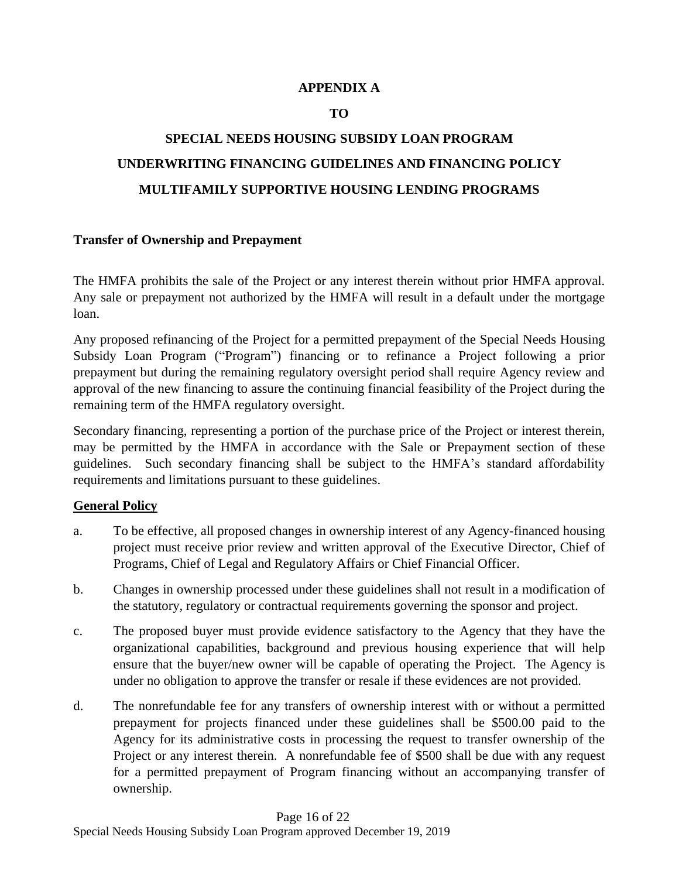### **APPENDIX A**

### **TO**

# **SPECIAL NEEDS HOUSING SUBSIDY LOAN PROGRAM UNDERWRITING FINANCING GUIDELINES AND FINANCING POLICY MULTIFAMILY SUPPORTIVE HOUSING LENDING PROGRAMS**

### **Transfer of Ownership and Prepayment**

The HMFA prohibits the sale of the Project or any interest therein without prior HMFA approval. Any sale or prepayment not authorized by the HMFA will result in a default under the mortgage loan.

Any proposed refinancing of the Project for a permitted prepayment of the Special Needs Housing Subsidy Loan Program ("Program") financing or to refinance a Project following a prior prepayment but during the remaining regulatory oversight period shall require Agency review and approval of the new financing to assure the continuing financial feasibility of the Project during the remaining term of the HMFA regulatory oversight.

Secondary financing, representing a portion of the purchase price of the Project or interest therein, may be permitted by the HMFA in accordance with the Sale or Prepayment section of these guidelines. Such secondary financing shall be subject to the HMFA's standard affordability requirements and limitations pursuant to these guidelines.

### **General Policy**

- a. To be effective, all proposed changes in ownership interest of any Agency-financed housing project must receive prior review and written approval of the Executive Director, Chief of Programs, Chief of Legal and Regulatory Affairs or Chief Financial Officer.
- b. Changes in ownership processed under these guidelines shall not result in a modification of the statutory, regulatory or contractual requirements governing the sponsor and project.
- c. The proposed buyer must provide evidence satisfactory to the Agency that they have the organizational capabilities, background and previous housing experience that will help ensure that the buyer/new owner will be capable of operating the Project. The Agency is under no obligation to approve the transfer or resale if these evidences are not provided.
- d. The nonrefundable fee for any transfers of ownership interest with or without a permitted prepayment for projects financed under these guidelines shall be \$500.00 paid to the Agency for its administrative costs in processing the request to transfer ownership of the Project or any interest therein. A nonrefundable fee of \$500 shall be due with any request for a permitted prepayment of Program financing without an accompanying transfer of ownership.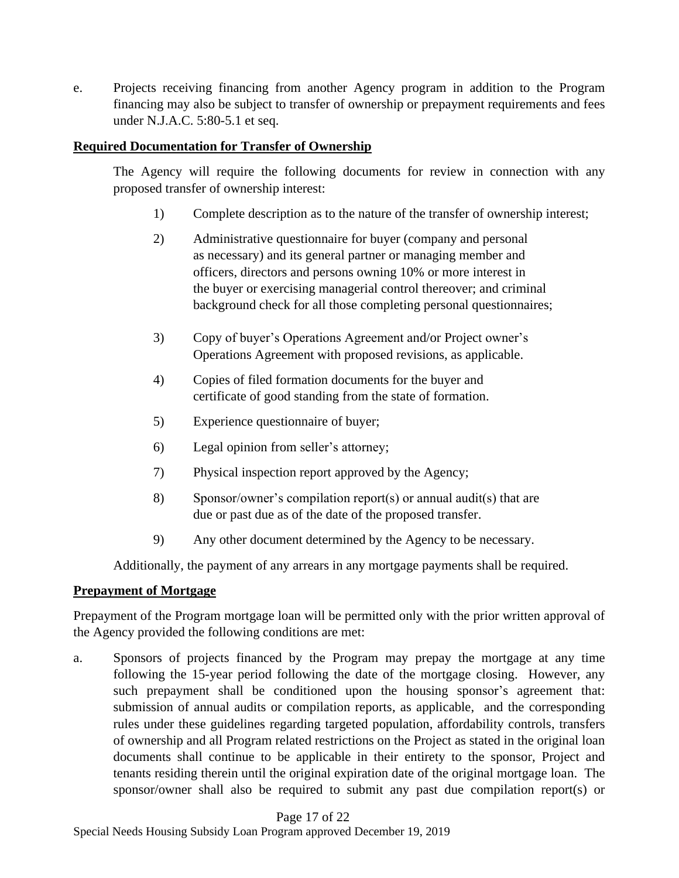e. Projects receiving financing from another Agency program in addition to the Program financing may also be subject to transfer of ownership or prepayment requirements and fees under N.J.A.C. 5:80-5.1 et seq.

### **Required Documentation for Transfer of Ownership**

The Agency will require the following documents for review in connection with any proposed transfer of ownership interest:

- 1) Complete description as to the nature of the transfer of ownership interest;
- 2) Administrative questionnaire for buyer (company and personal as necessary) and its general partner or managing member and officers, directors and persons owning 10% or more interest in the buyer or exercising managerial control thereover; and criminal background check for all those completing personal questionnaires;
- 3) Copy of buyer's Operations Agreement and/or Project owner's Operations Agreement with proposed revisions, as applicable.
- 4) Copies of filed formation documents for the buyer and certificate of good standing from the state of formation.
- 5) Experience questionnaire of buyer;
- 6) Legal opinion from seller's attorney;
- 7) Physical inspection report approved by the Agency;
- 8) Sponsor/owner's compilation report(s) or annual audit(s) that are due or past due as of the date of the proposed transfer.
- 9) Any other document determined by the Agency to be necessary.

Additionally, the payment of any arrears in any mortgage payments shall be required.

### **Prepayment of Mortgage**

Prepayment of the Program mortgage loan will be permitted only with the prior written approval of the Agency provided the following conditions are met:

a. Sponsors of projects financed by the Program may prepay the mortgage at any time following the 15-year period following the date of the mortgage closing. However, any such prepayment shall be conditioned upon the housing sponsor's agreement that: submission of annual audits or compilation reports, as applicable, and the corresponding rules under these guidelines regarding targeted population, affordability controls, transfers of ownership and all Program related restrictions on the Project as stated in the original loan documents shall continue to be applicable in their entirety to the sponsor, Project and tenants residing therein until the original expiration date of the original mortgage loan. The sponsor/owner shall also be required to submit any past due compilation report(s) or

Page 17 of 22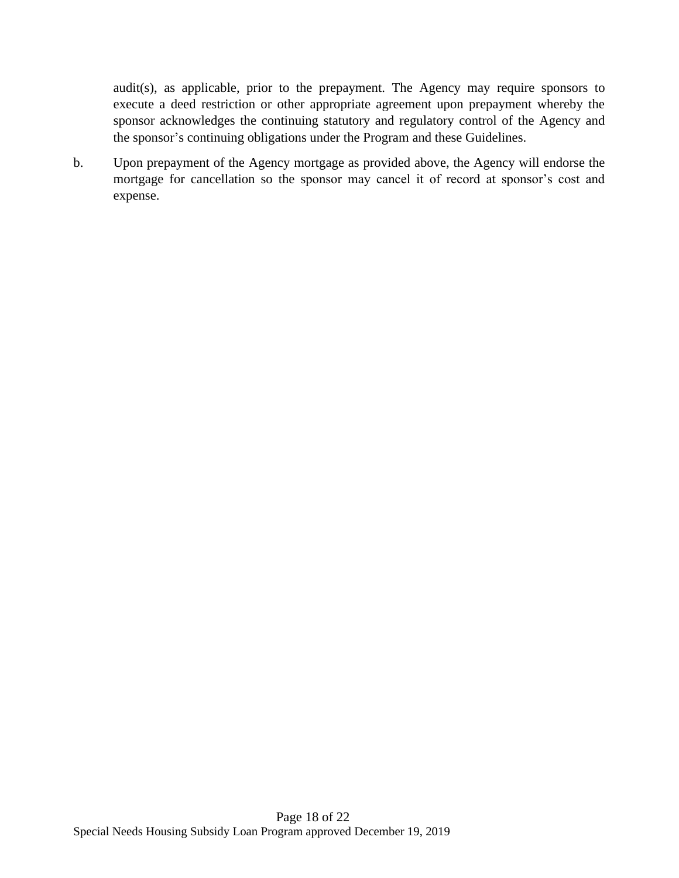audit(s), as applicable, prior to the prepayment. The Agency may require sponsors to execute a deed restriction or other appropriate agreement upon prepayment whereby the sponsor acknowledges the continuing statutory and regulatory control of the Agency and the sponsor's continuing obligations under the Program and these Guidelines.

b. Upon prepayment of the Agency mortgage as provided above, the Agency will endorse the mortgage for cancellation so the sponsor may cancel it of record at sponsor's cost and expense.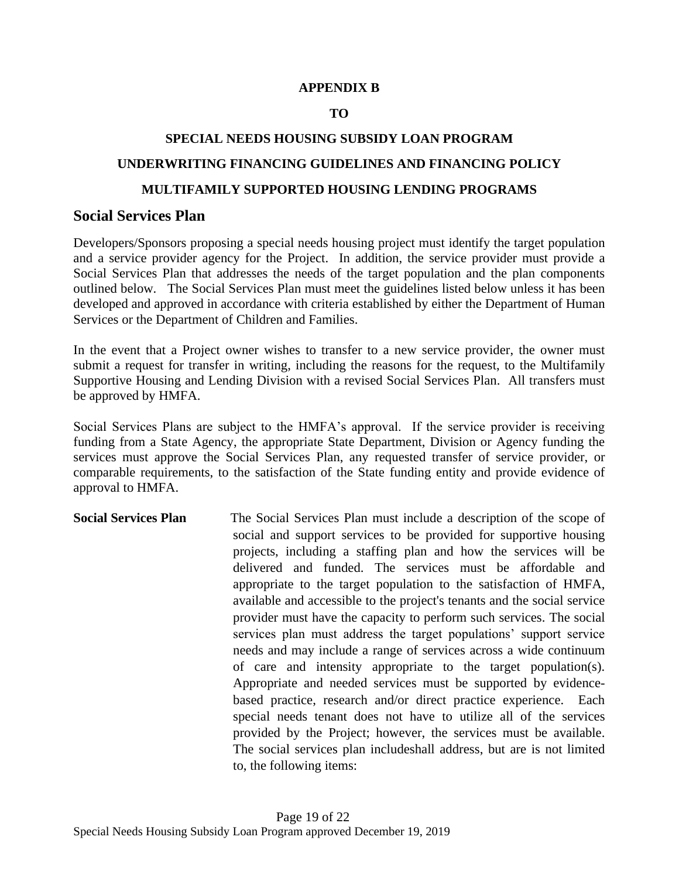### **APPENDIX B**

### **TO**

# **SPECIAL NEEDS HOUSING SUBSIDY LOAN PROGRAM UNDERWRITING FINANCING GUIDELINES AND FINANCING POLICY MULTIFAMILY SUPPORTED HOUSING LENDING PROGRAMS**

### **Social Services Plan**

Developers/Sponsors proposing a special needs housing project must identify the target population and a service provider agency for the Project. In addition, the service provider must provide a Social Services Plan that addresses the needs of the target population and the plan components outlined below. The Social Services Plan must meet the guidelines listed below unless it has been developed and approved in accordance with criteria established by either the Department of Human Services or the Department of Children and Families.

In the event that a Project owner wishes to transfer to a new service provider, the owner must submit a request for transfer in writing, including the reasons for the request, to the Multifamily Supportive Housing and Lending Division with a revised Social Services Plan. All transfers must be approved by HMFA.

Social Services Plans are subject to the HMFA's approval. If the service provider is receiving funding from a State Agency, the appropriate State Department, Division or Agency funding the services must approve the Social Services Plan, any requested transfer of service provider, or comparable requirements, to the satisfaction of the State funding entity and provide evidence of approval to HMFA.

**Social Services Plan** The Social Services Plan must include a description of the scope of social and support services to be provided for supportive housing projects, including a staffing plan and how the services will be delivered and funded. The services must be affordable and appropriate to the target population to the satisfaction of HMFA, available and accessible to the project's tenants and the social service provider must have the capacity to perform such services. The social services plan must address the target populations' support service needs and may include a range of services across a wide continuum of care and intensity appropriate to the target population(s). Appropriate and needed services must be supported by evidencebased practice, research and/or direct practice experience. Each special needs tenant does not have to utilize all of the services provided by the Project; however, the services must be available. The social services plan includeshall address, but are is not limited to, the following items: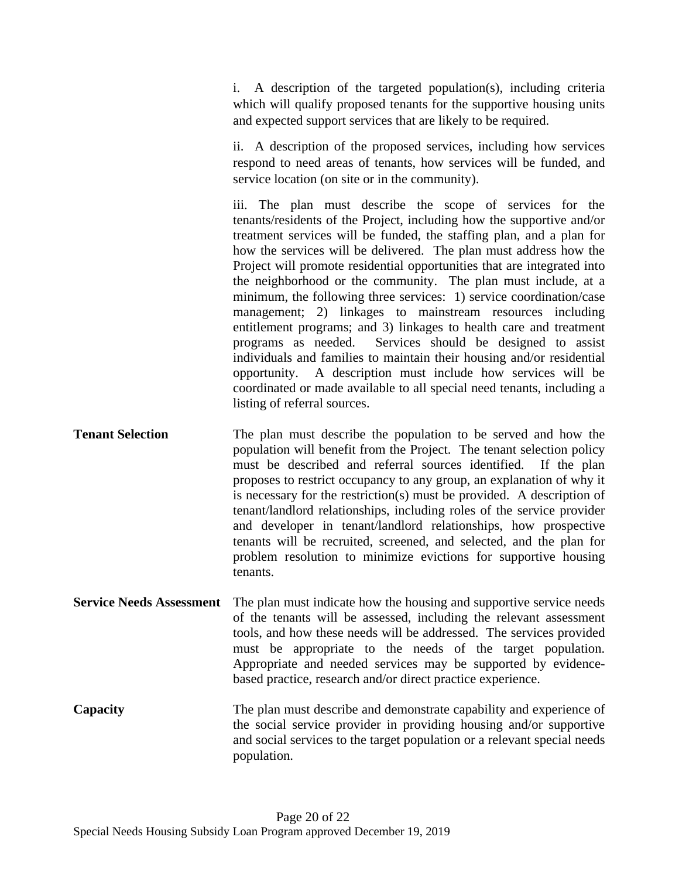i. A description of the targeted population(s), including criteria which will qualify proposed tenants for the supportive housing units and expected support services that are likely to be required.

ii. A description of the proposed services, including how services respond to need areas of tenants, how services will be funded, and service location (on site or in the community).

iii. The plan must describe the scope of services for the tenants/residents of the Project, including how the supportive and/or treatment services will be funded, the staffing plan, and a plan for how the services will be delivered. The plan must address how the Project will promote residential opportunities that are integrated into the neighborhood or the community. The plan must include, at a minimum, the following three services: 1) service coordination/case management; 2) linkages to mainstream resources including entitlement programs; and 3) linkages to health care and treatment programs as needed. Services should be designed to assist individuals and families to maintain their housing and/or residential opportunity. A description must include how services will be coordinated or made available to all special need tenants, including a listing of referral sources.

**Tenant Selection** The plan must describe the population to be served and how the population will benefit from the Project. The tenant selection policy must be described and referral sources identified. If the plan proposes to restrict occupancy to any group, an explanation of why it is necessary for the restriction(s) must be provided. A description of tenant/landlord relationships, including roles of the service provider and developer in tenant/landlord relationships, how prospective tenants will be recruited, screened, and selected, and the plan for problem resolution to minimize evictions for supportive housing tenants.

**Service Needs Assessment** The plan must indicate how the housing and supportive service needs of the tenants will be assessed, including the relevant assessment tools, and how these needs will be addressed. The services provided must be appropriate to the needs of the target population. Appropriate and needed services may be supported by evidencebased practice, research and/or direct practice experience.

**Capacity** The plan must describe and demonstrate capability and experience of the social service provider in providing housing and/or supportive and social services to the target population or a relevant special needs population.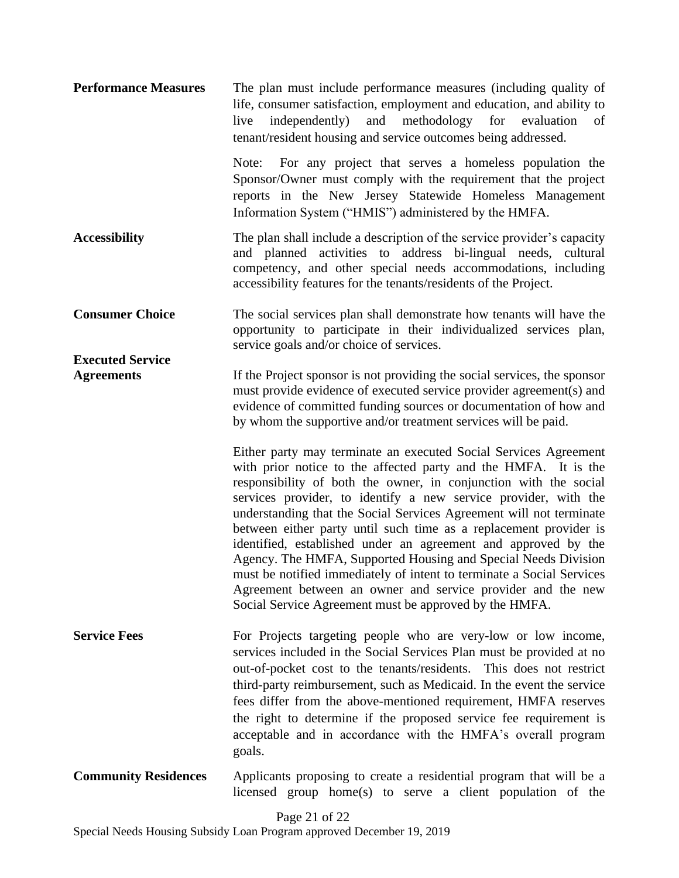| <b>Performance Measures</b>                  | The plan must include performance measures (including quality of<br>life, consumer satisfaction, employment and education, and ability to<br>and<br>methodology<br>live<br>independently)<br>for<br>evaluation<br>of<br>tenant/resident housing and service outcomes being addressed.                                                                                                                                                                                                                                                                                                                                                                                                                                                                        |
|----------------------------------------------|--------------------------------------------------------------------------------------------------------------------------------------------------------------------------------------------------------------------------------------------------------------------------------------------------------------------------------------------------------------------------------------------------------------------------------------------------------------------------------------------------------------------------------------------------------------------------------------------------------------------------------------------------------------------------------------------------------------------------------------------------------------|
|                                              | For any project that serves a homeless population the<br>Note:<br>Sponsor/Owner must comply with the requirement that the project<br>reports in the New Jersey Statewide Homeless Management<br>Information System ("HMIS") administered by the HMFA.                                                                                                                                                                                                                                                                                                                                                                                                                                                                                                        |
| <b>Accessibility</b>                         | The plan shall include a description of the service provider's capacity<br>and planned activities to address bi-lingual needs, cultural<br>competency, and other special needs accommodations, including<br>accessibility features for the tenants/residents of the Project.                                                                                                                                                                                                                                                                                                                                                                                                                                                                                 |
| <b>Consumer Choice</b>                       | The social services plan shall demonstrate how tenants will have the<br>opportunity to participate in their individualized services plan,<br>service goals and/or choice of services.                                                                                                                                                                                                                                                                                                                                                                                                                                                                                                                                                                        |
| <b>Executed Service</b><br><b>Agreements</b> | If the Project sponsor is not providing the social services, the sponsor<br>must provide evidence of executed service provider agreement(s) and<br>evidence of committed funding sources or documentation of how and<br>by whom the supportive and/or treatment services will be paid.                                                                                                                                                                                                                                                                                                                                                                                                                                                                       |
|                                              | Either party may terminate an executed Social Services Agreement<br>with prior notice to the affected party and the HMFA. It is the<br>responsibility of both the owner, in conjunction with the social<br>services provider, to identify a new service provider, with the<br>understanding that the Social Services Agreement will not terminate<br>between either party until such time as a replacement provider is<br>identified, established under an agreement and approved by the<br>Agency. The HMFA, Supported Housing and Special Needs Division<br>must be notified immediately of intent to terminate a Social Services<br>Agreement between an owner and service provider and the new<br>Social Service Agreement must be approved by the HMFA. |
| <b>Service Fees</b>                          | For Projects targeting people who are very-low or low income,<br>services included in the Social Services Plan must be provided at no<br>out-of-pocket cost to the tenants/residents. This does not restrict<br>third-party reimbursement, such as Medicaid. In the event the service<br>fees differ from the above-mentioned requirement, HMFA reserves<br>the right to determine if the proposed service fee requirement is<br>acceptable and in accordance with the HMFA's overall program<br>goals.                                                                                                                                                                                                                                                      |

**Community Residences** Applicants proposing to create a residential program that will be a licensed group home(s) to serve a client population of the